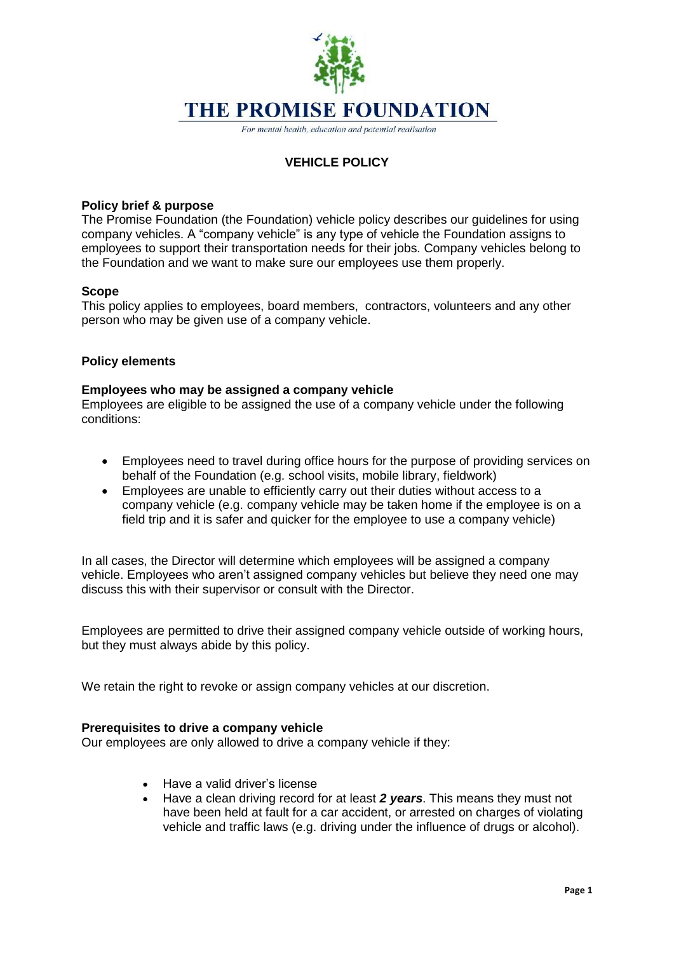# **THE PROMISE FOUNDATION**

For mental health, education and potential realisation

# **VEHICLE POLICY**

# **Policy brief & purpose**

The Promise Foundation (the Foundation) vehicle policy describes our guidelines for using company vehicles. A "company vehicle" is any type of vehicle the Foundation assigns to employees to support their transportation needs for their jobs. Company vehicles belong to the Foundation and we want to make sure our employees use them properly.

## **Scope**

This policy applies to employees, board members, contractors, volunteers and any other person who may be given use of a company vehicle.

# **Policy elements**

## **Employees who may be assigned a company vehicle**

Employees are eligible to be assigned the use of a company vehicle under the following conditions:

- Employees need to travel during office hours for the purpose of providing services on behalf of the Foundation (e.g. school visits, mobile library, fieldwork)
- Employees are unable to efficiently carry out their duties without access to a company vehicle (e.g. company vehicle may be taken home if the employee is on a field trip and it is safer and quicker for the employee to use a company vehicle)

In all cases, the Director will determine which employees will be assigned a company vehicle. Employees who aren't assigned company vehicles but believe they need one may discuss this with their supervisor or consult with the Director.

Employees are permitted to drive their assigned company vehicle outside of working hours, but they must always abide by this policy.

We retain the right to revoke or assign company vehicles at our discretion.

#### **Prerequisites to drive a company vehicle**

Our employees are only allowed to drive a company vehicle if they:

- Have a valid driver's license
- Have a clean driving record for at least *2 years*. This means they must not have been held at fault for a car accident, or arrested on charges of violating vehicle and traffic laws (e.g. driving under the influence of drugs or alcohol).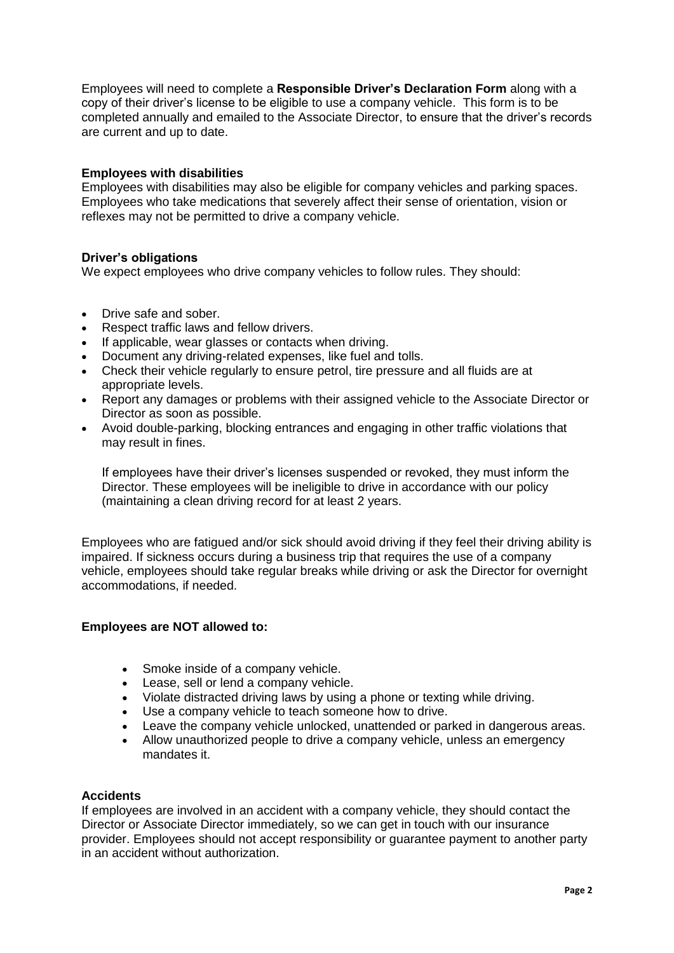Employees will need to complete a **Responsible Driver's Declaration Form** along with a copy of their driver's license to be eligible to use a company vehicle. This form is to be completed annually and emailed to the Associate Director, to ensure that the driver's records are current and up to date.

# **Employees with disabilities**

Employees with disabilities may also be eligible for company vehicles and [parking spaces.](https://resources.workable.com/parking-company-policy) Employees who take medications that severely affect their sense of orientation, vision or reflexes may not be permitted to drive a company vehicle.

## **Driver's obligations**

We expect employees who drive company vehicles to follow rules. They should:

- Drive safe and sober
- Respect traffic laws and fellow drivers.
- If applicable, wear glasses or contacts when driving.
- Document any driving-related expenses, like fuel and tolls.
- Check their vehicle regularly to ensure petrol, tire pressure and all fluids are at appropriate levels.
- Report any damages or problems with their assigned vehicle to the Associate Director or Director as soon as possible.
- Avoid double-parking, blocking entrances and engaging in other traffic violations that may result in fines.

If employees have their driver's licenses suspended or revoked, they must inform the Director. These employees will be ineligible to drive in accordance with our policy (maintaining a clean driving record for at least 2 years.

Employees who are fatigued and/or sick should avoid driving if they feel their driving ability is impaired. If sickness occurs during a business trip that requires the use of a company vehicle, employees should take regular breaks while driving or ask the Director for overnight accommodations, if needed.

## **Employees are NOT allowed to:**

- Smoke inside of a company vehicle.
- Lease, sell or lend a company vehicle.
- Violate distracted driving laws by using a phone or texting while driving.
- Use a company vehicle to teach someone how to drive.
- Leave the company vehicle unlocked, unattended or parked in dangerous areas.
- Allow unauthorized people to drive a company vehicle, unless an emergency mandates it.

#### **Accidents**

If employees are involved in an accident with a company vehicle, they should contact the Director or Associate Director immediately, so we can get in touch with our insurance provider. Employees should not accept responsibility or guarantee payment to another party in an accident without authorization.